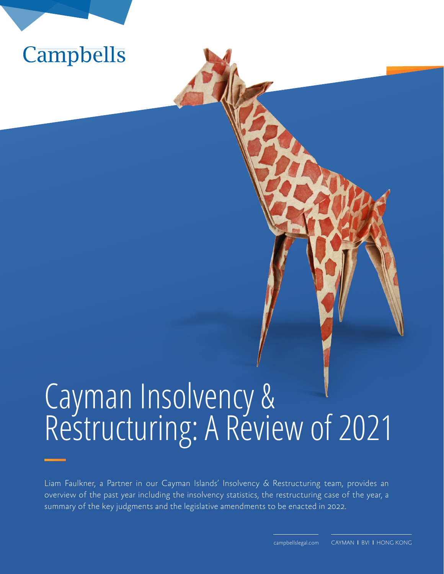

# Cayman Insolvency & Restructuring: A Review of 2021

Liam Faulkner, a Partner in our Cayman Islands' Insolvency & Restructuring team, provides an overview of the past year including the insolvency statistics, the restructuring case of the year, a summary of the key judgments and the legislative amendments to be enacted in 2022.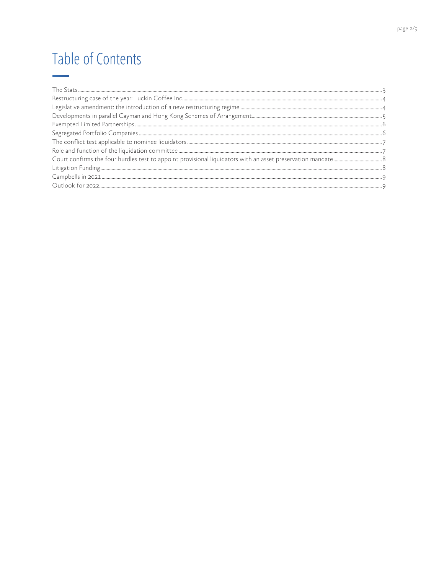# **Table of Contents**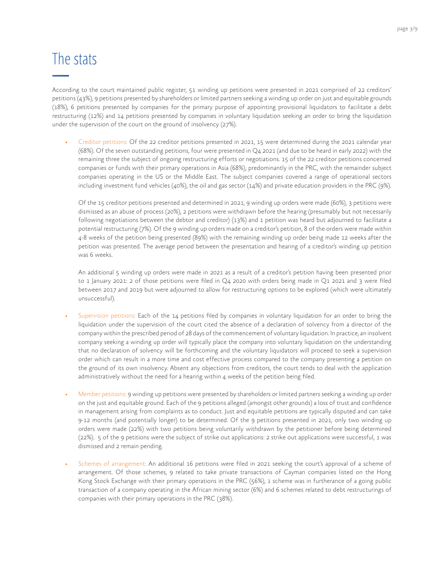#### The stats

According to the court maintained public register, 51 winding up petitions were presented in 2021 comprised of 22 creditors' petitions (43%), 9 petitions presented by shareholders or limited partners seeking a winding up order on just and equitable grounds (18%), 6 petitions presented by companies for the primary purpose of appointing provisional liquidators to facilitate a debt restructuring (12%) and 14 petitions presented by companies in voluntary liquidation seeking an order to bring the liquidation under the supervision of the court on the ground of insolvency (27%).

• Creditor petitions: Of the 22 creditor petitions presented in 2021, 15 were determined during the 2021 calendar year (68%). Of the seven outstanding petitions, four were presented in Q4 2021 (and due to be heard in early 2022) with the remaining three the subject of ongoing restructuring efforts or negotiations. 15 of the 22 creditor petitions concerned companies or funds with their primary operations in Asia (68%), predominantly in the PRC, with the remainder subject companies operating in the US or the Middle East. The subject companies covered a range of operational sectors including investment fund vehicles (40%), the oil and gas sector (14%) and private education providers in the PRC (9%).

Of the 15 creditor petitions presented and determined in 2021, 9 winding up orders were made (60%), 3 petitions were dismissed as an abuse of process (20%), 2 petitions were withdrawn before the hearing (presumably but not necessarily following negotiations between the debtor and creditor) (13%) and 1 petition was heard but adjourned to facilitate a potential restructuring (7%). Of the 9 winding up orders made on a creditor's petition, 8 of the orders were made within 4-8 weeks of the petition being presented (89%) with the remaining winding up order being made 12 weeks after the petition was presented. The average period between the presentation and hearing of a creditor's winding up petition was 6 weeks.

An additional 5 winding up orders were made in 2021 as a result of a creditor's petition having been presented prior to 1 January 2021: 2 of those petitions were filed in Q4 2020 with orders being made in Q1 2021 and 3 were filed between 2017 and 2019 but were adjourned to allow for restructuring options to be explored (which were ultimately unsuccessful).

- Supervision petitions: Each of the 14 petitions filed by companies in voluntary liquidation for an order to bring the liquidation under the supervision of the court cited the absence of a declaration of solvency from a director of the company within the prescribed period of 28 days of the commencement of voluntary liquidation. In practice, an insolvent company seeking a winding up order will typically place the company into voluntary liquidation on the understanding that no declaration of solvency will be forthcoming and the voluntary liquidators will proceed to seek a supervision order which can result in a more time and cost effective process compared to the company presenting a petition on the ground of its own insolvency. Absent any objections from creditors, the court tends to deal with the application administratively without the need for a hearing within 4 weeks of the petition being filed.
- Member petitions: 9 winding up petitions were presented by shareholders or limited partners seeking a winding up order on the just and equitable ground. Each of the 9 petitions alleged (amongst other grounds) a loss of trust and confidence in management arising from complaints as to conduct. Just and equitable petitions are typically disputed and can take 9-12 months (and potentially longer) to be determined. Of the 9 petitions presented in 2021, only two winding up orders were made (22%) with two petitions being voluntarily withdrawn by the petitioner before being determined (22%). 5 of the 9 petitions were the subject of strike out applications: 2 strike out applications were successful, 1 was dismissed and 2 remain pending.
- Schemes of arrangement: An additional 16 petitions were filed in 2021 seeking the court's approval of a scheme of arrangement. Of those schemes, 9 related to take private transactions of Cayman companies listed on the Hong Kong Stock Exchange with their primary operations in the PRC (56%), 1 scheme was in furtherance of a going public transaction of a company operating in the African mining sector (6%) and 6 schemes related to debt restructurings of companies with their primary operations in the PRC (38%).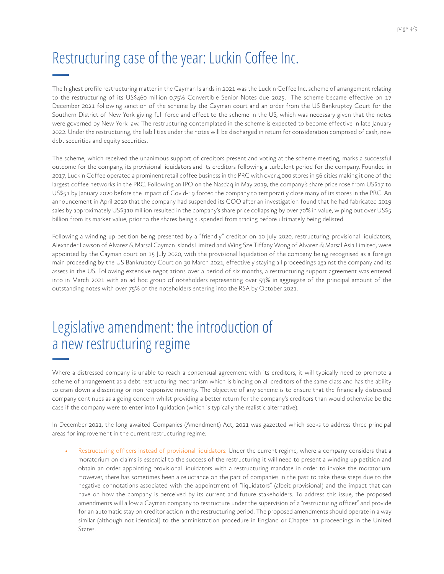# Restructuring case of the year: Luckin Coffee Inc.

The highest profile restructuring matter in the Cayman Islands in 2021 was the Luckin Coffee Inc. scheme of arrangement relating to the restructuring of its US\$460 million 0.75% Convertible Senior Notes due 2025. The scheme became effective on 17 December 2021 following sanction of the scheme by the Cayman court and an order from the US Bankruptcy Court for the Southern District of New York giving full force and effect to the scheme in the US, which was necessary given that the notes were governed by New York law. The restructuring contemplated in the scheme is expected to become effective in late January 2022. Under the restructuring, the liabilities under the notes will be discharged in return for consideration comprised of cash, new debt securities and equity securities.

The scheme, which received the unanimous support of creditors present and voting at the scheme meeting, marks a successful outcome for the company, its provisional liquidators and its creditors following a turbulent period for the company. Founded in 2017, Luckin Coffee operated a prominent retail coffee business in the PRC with over 4,000 stores in 56 cities making it one of the largest coffee networks in the PRC. Following an IPO on the Nasdaq in May 2019, the company's share price rose from US\$17 to US\$51 by January 2020 before the impact of Covid-19 forced the company to temporarily close many of its stores in the PRC. An announcement in April 2020 that the company had suspended its COO after an investigation found that he had fabricated 2019 sales by approximately US\$310 million resulted in the company's share price collapsing by over 70% in value, wiping out over US\$5 billion from its market value, prior to the shares being suspended from trading before ultimately being delisted.

Following a winding up petition being presented by a "friendly" creditor on 10 July 2020, restructuring provisional liquidators, Alexander Lawson of Alvarez & Marsal Cayman Islands Limited and Wing Sze Tiffany Wong of Alvarez & Marsal Asia Limited, were appointed by the Cayman court on 15 July 2020, with the provisional liquidation of the company being recognised as a foreign main proceeding by the US Bankruptcy Court on 30 March 2021, effectively staying all proceedings against the company and its assets in the US. Following extensive negotiations over a period of six months, a restructuring support agreement was entered into in March 2021 with an ad hoc group of noteholders representing over 59% in aggregate of the principal amount of the outstanding notes with over 75% of the noteholders entering into the RSA by October 2021.

#### Legislative amendment: the introduction of a new restructuring regime

Where a distressed company is unable to reach a consensual agreement with its creditors, it will typically need to promote a scheme of arrangement as a debt restructuring mechanism which is binding on all creditors of the same class and has the ability to cram down a dissenting or non-responsive minority. The objective of any scheme is to ensure that the financially distressed company continues as a going concern whilst providing a better return for the company's creditors than would otherwise be the case if the company were to enter into liquidation (which is typically the realistic alternative).

In December 2021, the long awaited Companies (Amendment) Act, 2021 was gazetted which seeks to address three principal areas for improvement in the current restructuring regime:

Restructuring officers instead of provisional liquidators: Under the current regime, where a company considers that a moratorium on claims is essential to the success of the restructuring it will need to present a winding up petition and obtain an order appointing provisional liquidators with a restructuring mandate in order to invoke the moratorium. However, there has sometimes been a reluctance on the part of companies in the past to take these steps due to the negative connotations associated with the appointment of "liquidators" (albeit provisional) and the impact that can have on how the company is perceived by its current and future stakeholders. To address this issue, the proposed amendments will allow a Cayman company to restructure under the supervision of a "restructuring officer" and provide for an automatic stay on creditor action in the restructuring period. The proposed amendments should operate in a way similar (although not identical) to the administration procedure in England or Chapter 11 proceedings in the United States.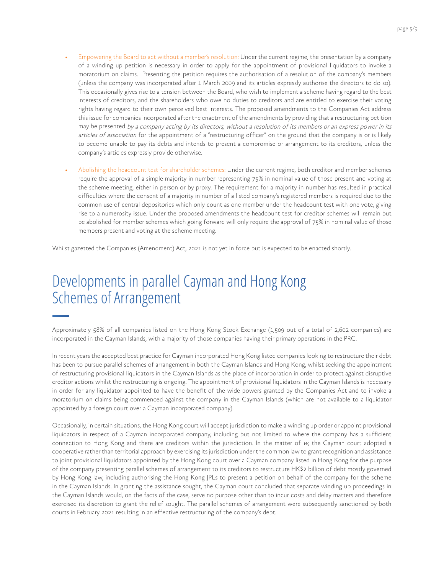- Empowering the Board to act without a member's resolution: Under the current regime, the presentation by a company of a winding up petition is necessary in order to apply for the appointment of provisional liquidators to invoke a moratorium on claims. Presenting the petition requires the authorisation of a resolution of the company's members (unless the company was incorporated after 1 March 2009 and its articles expressly authorise the directors to do so). This occasionally gives rise to a tension between the Board, who wish to implement a scheme having regard to the best interests of creditors, and the shareholders who owe no duties to creditors and are entitled to exercise their voting rights having regard to their own perceived best interests. The proposed amendments to the Companies Act address this issue for companies incorporated after the enactment of the amendments by providing that a restructuring petition may be presented by a company acting by its directors, without a resolution of its members or an express power in its articles of association for the appointment of a "restructuring officer" on the ground that the company is or is likely to become unable to pay its debts and intends to present a compromise or arrangement to its creditors, unless the company's articles expressly provide otherwise.
- Abolishing the headcount test for shareholder schemes: Under the current regime, both creditor and member schemes require the approval of a simple majority in number representing 75% in nominal value of those present and voting at the scheme meeting, either in person or by proxy. The requirement for a majority in number has resulted in practical difficulties where the consent of a majority in number of a listed company's registered members is required due to the common use of central depositories which only count as one member under the headcount test with one vote, giving rise to a numerosity issue. Under the proposed amendments the headcount test for creditor schemes will remain but be abolished for member schemes which going forward will only require the approval of 75% in nominal value of those members present and voting at the scheme meeting.

Whilst gazetted the Companies (Amendment) Act, 2021 is not yet in force but is expected to be enacted shortly.

#### Developments in parallel Cayman and Hong Kong Schemes of Arrangement

Approximately 58% of all companies listed on the Hong Kong Stock Exchange (1,509 out of a total of 2,602 companies) are incorporated in the Cayman Islands, with a majority of those companies having their primary operations in the PRC.

In recent years the accepted best practice for Cayman incorporated Hong Kong listed companies looking to restructure their debt has been to pursue parallel schemes of arrangement in both the Cayman Islands and Hong Kong, whilst seeking the appointment of restructuring provisional liquidators in the Cayman Islands as the place of incorporation in order to protect against disruptive creditor actions whilst the restructuring is ongoing. The appointment of provisional liquidators in the Cayman Islands is necessary in order for any liquidator appointed to have the benefit of the wide powers granted by the Companies Act and to invoke a moratorium on claims being commenced against the company in the Cayman Islands (which are not available to a liquidator appointed by a foreign court over a Cayman incorporated company).

Occasionally, in certain situations, the Hong Kong court will accept jurisdiction to make a winding up order or appoint provisional liquidators in respect of a Cayman incorporated company, including but not limited to where the company has a sufficient connection to Hong Kong and there are creditors within the jurisdiction. In the matter of  $w<sub>i</sub>$  the Cayman court adopted a cooperative rather than territorial approach by exercising its jurisdiction under the common law to grant recognition and assistance to joint provisional liquidators appointed by the Hong Kong court over a Cayman company listed in Hong Kong for the purpose of the company presenting parallel schemes of arrangement to its creditors to restructure HK\$2 billion of debt mostly governed by Hong Kong law, including authorising the Hong Kong JPLs to present a petition on behalf of the company for the scheme in the Cayman Islands. In granting the assistance sought, the Cayman court concluded that separate winding up proceedings in the Cayman Islands would, on the facts of the case, serve no purpose other than to incur costs and delay matters and therefore exercised its discretion to grant the relief sought. The parallel schemes of arrangement were subsequently sanctioned by both courts in February 2021 resulting in an effective restructuring of the company's debt.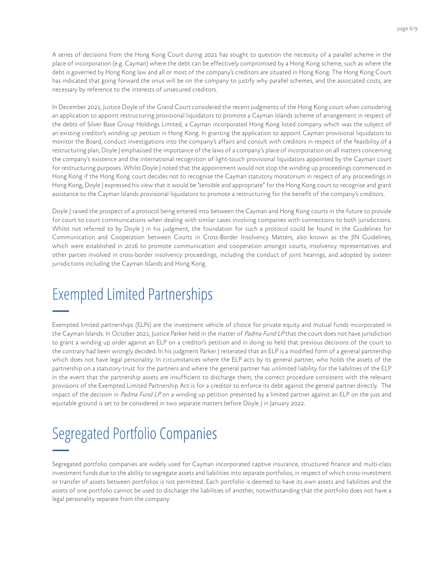A series of decisions from the Hong Kong Court during 2021 has sought to question the necessity of a parallel scheme in the place of incorporation (e.g. Cayman) where the debt can be effectively compromised by a Hong Kong scheme, such as where the debt is governed by Hong Kong law and all or most of the company's creditors are situated in Hong Kong. The Hong Kong Court has indicated that going forward the onus will be on the company to justify why parallel schemes, and the associated costs, are necessary by reference to the interests of unsecured creditors.

In December 2021, Justice Doyle of the Grand Court considered the recent judgments of the Hong Kong court when considering an application to appoint restructuring provisional liquidators to promote a Cayman Islands scheme of arrangement in respect of the debts of Silver Base Group Holdings Limited, a Cayman incorporated Hong Kong listed company which was the subject of an existing creditor's winding up petition in Hong Kong. In granting the application to appoint Cayman provisional liquidators to monitor the Board, conduct investigations into the company's affairs and consult with creditors in respect of the feasibility of a restructuring plan, Doyle J emphasised the importance of the laws of a company's place of incorporation on all matters concerning the company's existence and the international recognition of light-touch provisional liquidators appointed by the Cayman court for restructuring purposes. Whilst Doyle J noted that the appointment would not stop the winding up proceedings commenced in Hong Kong if the Hong Kong court decides not to recognise the Cayman statutory moratorium in respect of any proceedings in Hong Kong, Doyle J expressed his view that it would be "sensible and appropriate" for the Hong Kong court to recognise and grant assistance to the Cayman Islands provisional liquidators to promote a restructuring for the benefit of the company's creditors.

Doyle J raised the prospect of a protocol being entered into between the Cayman and Hong Kong courts in the future to provide for court to court communications when dealing with similar cases involving companies with connections to both jurisdictions. Whilst not referred to by Doyle J in his judgment, the foundation for such a protocol could be found in the Guidelines for Communication and Cooperation between Courts in Cross-Border Insolvency Matters, also known as the JIN Guidelines, which were established in 2016 to promote communication and cooperation amongst courts, insolvency representatives and other parties involved in cross-border insolvency proceedings, including the conduct of joint hearings, and adopted by sixteen jurisdictions including the Cayman Islands and Hong Kong.

### Exempted Limited Partnerships

Exempted limited partnerships (ELPs) are the investment vehicle of choice for private equity and mutual funds incorporated in the Cayman Islands. In October 2021, Justice Parker held in the matter of Padma Fund LP that the court does not have jurisdiction to grant a winding up order against an ELP on a creditor's petition and in doing so held that previous decisions of the court to the contrary had been wrongly decided. In his judgment Parker J reiterated that an ELP is a modified form of a general partnership which does not have legal personality. In circumstances where the ELP acts by its general partner, who holds the assets of the partnership on a statutory trust for the partners and where the general partner has unlimited liability for the liabilities of the ELP in the event that the partnership assets are insufficient to discharge them, the correct procedure consistent with the relevant provisions of the Exempted Limited Partnership Act is for a creditor to enforce its debt against the general partner directly. The impact of the decision in Padma Fund LP on a winding up petition presented by a limited partner against an ELP on the just and equitable ground is set to be considered in two separate matters before Doyle J in January 2022.

# Segregated Portfolio Companies

Segregated portfolio companies are widely used for Cayman incorporated captive insurance, structured finance and multi-class investment funds due to the ability to segregate assets and liabilities into separate portfolios, in respect of which cross-investment or transfer of assets between portfolios is not permitted. Each portfolio is deemed to have its own assets and liabilities and the assets of one portfolio cannot be used to discharge the liabilities of another, notwithstanding that the portfolio does not have a legal personality separate from the company.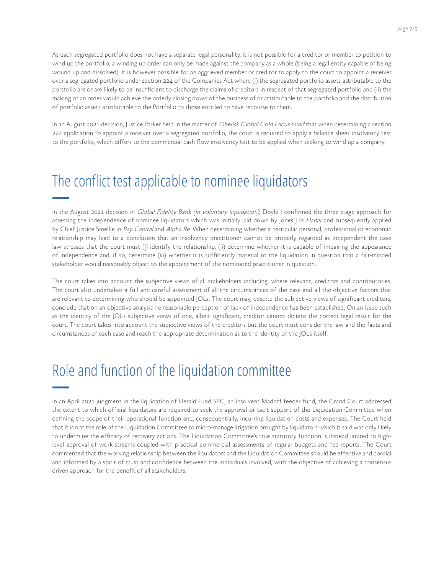page 7/9

As each segregated portfolio does not have a separate legal personality, it is not possible for a creditor or member to petition to wind up the portfolio; a winding up order can only be made against the company as a whole (being a legal entity capable of being wound up and dissolved). It is however possible for an aggrieved member or creditor to apply to the court to appoint a receiver over a segregated portfolio under section 224 of the Companies Act where (i) the segregated portfolio assets attributable to the portfolio are or are likely to be insufficient to discharge the claims of creditors in respect of that segregated portfolio and (ii) the making of an order would achieve the orderly closing down of the business of or attributable to the portfolio and the distribution of portfolio assets attributable to the Portfolio to those entitled to have recourse to them.

In an August 2021 decision, Justice Parker held in the matter of Obelisk Global Gold Focus Fund that when determining a section 224 application to appoint a receiver over a segregated portfolio, the court is required to apply a balance sheet insolvency test to the portfolio, which differs to the commercial cash flow insolvency test to be applied when seeking to wind up a company.

#### The conflict test applicable to nominee liquidators

In the August 2021 decision in *Global Fidelity Bank (in voluntary liquidation)*, Doyle J confirmed the three stage approach for assessing the independence of nominee liquidators which was initially laid down by Jones J in Hadar and subsequently applied by Chief Justice Smellie in Bay Capital and Alpha Re. When determining whether a particular personal, professional or economic relationship may lead to a conclusion that an insolvency practitioner cannot be properly regarded as independent the case law stresses that the court must (i) identify the relationship, (ii) determine whether it is capable of impairing the appearance of independence and, if so, determine (iii) whether it is sufficiently material to the liquidation in question that a fair-minded stakeholder would reasonably object to the appointment of the nominated practitioner in question.

The court takes into account the subjective views of all stakeholders including, where relevant, creditors and contributories. The court also undertakes a full and careful assessment of all the circumstances of the case and all the objective factors that are relevant to determining who should be appointed JOLs. The court may, despite the subjective views of significant creditors, conclude that on an objective analysis no reasonable perception of lack of independence has been established. On an issue such as the identity of the JOLs subjective views of one, albeit significant, creditor cannot dictate the correct legal result for the court. The court takes into account the subjective views of the creditors but the court must consider the law and the facts and circumstances of each case and reach the appropriate determination as to the identity of the JOLs itself.

### Role and function of the liquidation committee

In an April 2021 judgment in the liquidation of Herald Fund SPC, an insolvent Madoff feeder fund, the Grand Court addressed the extent to which official liquidators are required to seek the approval or tacit support of the Liquidation Committee when defining the scope of their operational function and, consequentially, incurring liquidation costs and expenses. The Court held that it is not the role of the Liquidation Committee to micro-manage litigation brought by liquidators which it said was only likely to undermine the efficacy of recovery actions. The Liquidation Committee's true statutory function is instead limited to highlevel approval of work-streams coupled with practical commercial assessments of regular budgets and fee reports. The Court commented that the working relationship between the liquidators and the Liquidation Committee should be effective and cordial and informed by a spirit of trust and confidence between the individuals involved, with the objective of achieving a consensus driven approach for the benefit of all stakeholders.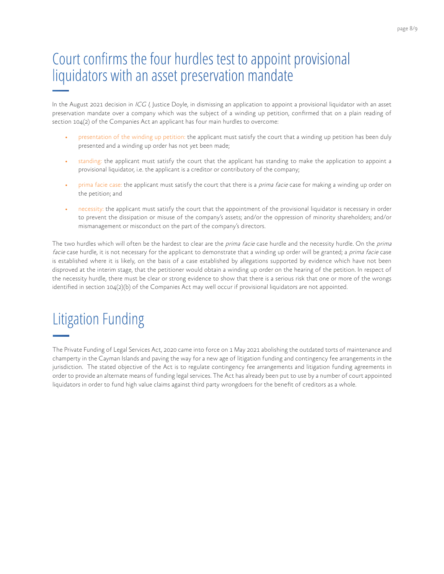#### page 8/9

### Court confirms the four hurdles test to appoint provisional liquidators with an asset preservation mandate

In the August 2021 decision in ICG I, Justice Doyle, in dismissing an application to appoint a provisional liquidator with an asset preservation mandate over a company which was the subject of a winding up petition, confirmed that on a plain reading of section 104(2) of the Companies Act an applicant has four main hurdles to overcome:

- presentation of the winding up petition: the applicant must satisfy the court that a winding up petition has been duly presented and a winding up order has not yet been made;
- standing: the applicant must satisfy the court that the applicant has standing to make the application to appoint a provisional liquidator, i.e. the applicant is a creditor or contributory of the company;
- prima facie case: the applicant must satisfy the court that there is a prima facie case for making a winding up order on the petition; and
- necessity: the applicant must satisfy the court that the appointment of the provisional liquidator is necessary in order to prevent the dissipation or misuse of the company's assets; and/or the oppression of minority shareholders; and/or mismanagement or misconduct on the part of the company's directors.

The two hurdles which will often be the hardest to clear are the prima facie case hurdle and the necessity hurdle. On the prima facie case hurdle, it is not necessary for the applicant to demonstrate that a winding up order will be granted; a prima facie case is established where it is likely, on the basis of a case established by allegations supported by evidence which have not been disproved at the interim stage, that the petitioner would obtain a winding up order on the hearing of the petition. In respect of the necessity hurdle, there must be clear or strong evidence to show that there is a serious risk that one or more of the wrongs identified in section 104(2)(b) of the Companies Act may well occur if provisional liquidators are not appointed.

# Litigation Funding

The Private Funding of Legal Services Act, 2020 came into force on 1 May 2021 abolishing the outdated torts of maintenance and champerty in the Cayman Islands and paving the way for a new age of litigation funding and contingency fee arrangements in the jurisdiction. The stated objective of the Act is to regulate contingency fee arrangements and litigation funding agreements in order to provide an alternate means of funding legal services. The Act has already been put to use by a number of court appointed liquidators in order to fund high value claims against third party wrongdoers for the benefit of creditors as a whole.